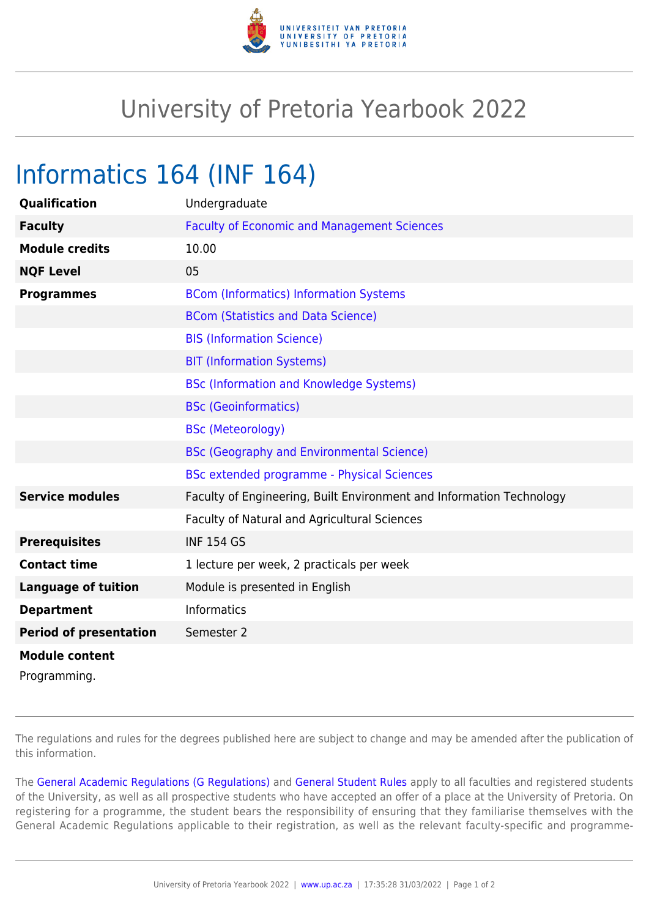

## University of Pretoria Yearbook 2022

## Informatics 164 (INF 164)

| Qualification                 | Undergraduate                                                        |
|-------------------------------|----------------------------------------------------------------------|
| <b>Faculty</b>                | <b>Faculty of Economic and Management Sciences</b>                   |
| <b>Module credits</b>         | 10.00                                                                |
| <b>NQF Level</b>              | 05                                                                   |
| <b>Programmes</b>             | <b>BCom (Informatics) Information Systems</b>                        |
|                               | <b>BCom (Statistics and Data Science)</b>                            |
|                               | <b>BIS (Information Science)</b>                                     |
|                               | <b>BIT (Information Systems)</b>                                     |
|                               | <b>BSc (Information and Knowledge Systems)</b>                       |
|                               | <b>BSc (Geoinformatics)</b>                                          |
|                               | <b>BSc (Meteorology)</b>                                             |
|                               | <b>BSc (Geography and Environmental Science)</b>                     |
|                               | <b>BSc extended programme - Physical Sciences</b>                    |
| <b>Service modules</b>        | Faculty of Engineering, Built Environment and Information Technology |
|                               | Faculty of Natural and Agricultural Sciences                         |
| <b>Prerequisites</b>          | <b>INF 154 GS</b>                                                    |
| <b>Contact time</b>           | 1 lecture per week, 2 practicals per week                            |
| <b>Language of tuition</b>    | Module is presented in English                                       |
| <b>Department</b>             | <b>Informatics</b>                                                   |
| <b>Period of presentation</b> | Semester 2                                                           |
| <b>Module content</b>         |                                                                      |
|                               |                                                                      |

Programming.

The regulations and rules for the degrees published here are subject to change and may be amended after the publication of this information.

The [General Academic Regulations \(G Regulations\)](https://www.up.ac.za/yearbooks/2022/rules/view/REG) and [General Student Rules](https://www.up.ac.za/yearbooks/2022/rules/view/RUL) apply to all faculties and registered students of the University, as well as all prospective students who have accepted an offer of a place at the University of Pretoria. On registering for a programme, the student bears the responsibility of ensuring that they familiarise themselves with the General Academic Regulations applicable to their registration, as well as the relevant faculty-specific and programme-